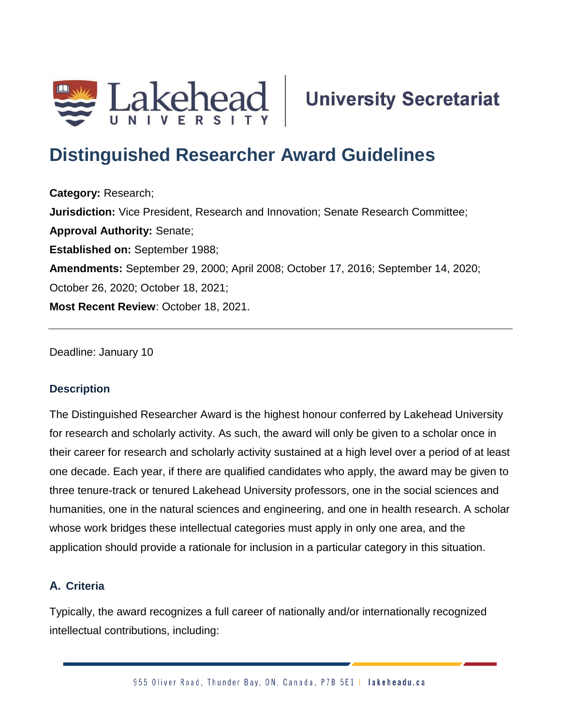

# **Distinguished Researcher Award Guidelines**

**Category:** Research; **Jurisdiction:** Vice President, Research and Innovation; Senate Research Committee; **Approval Authority:** Senate; **Established on:** September 1988; **Amendments:** September 29, 2000; April 2008; October 17, 2016; September 14, 2020; October 26, 2020; October 18, 2021; **Most Recent Review**: October 18, 2021.

Deadline: January 10

## **Description**

The Distinguished Researcher Award is the highest honour conferred by Lakehead University for research and scholarly activity. As such, the award will only be given to a scholar once in their career for research and scholarly activity sustained at a high level over a period of at least one decade. Each year, if there are qualified candidates who apply, the award may be given to three tenure-track or tenured Lakehead University professors, one in the social sciences and humanities, one in the natural sciences and engineering, and one in health research. A scholar whose work bridges these intellectual categories must apply in only one area, and the application should provide a rationale for inclusion in a particular category in this situation.

## **A. Criteria**

Typically, the award recognizes a full career of nationally and/or internationally recognized intellectual contributions, including: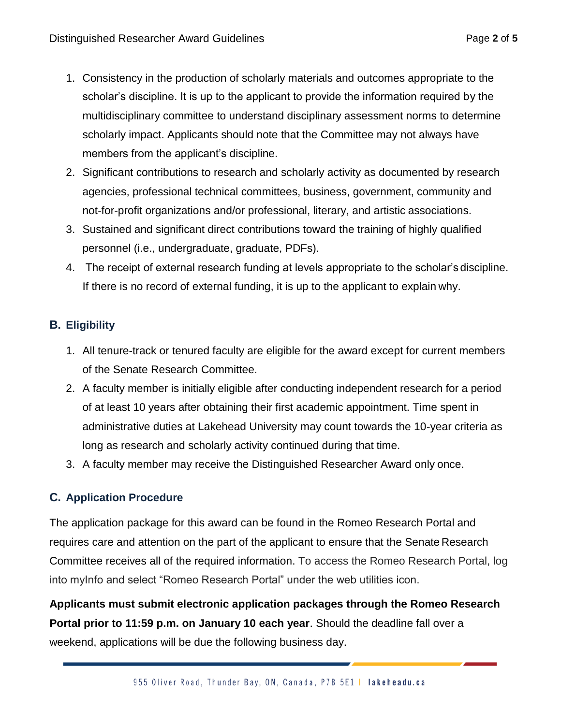- 1. Consistency in the production of scholarly materials and outcomes appropriate to the scholar's discipline. It is up to the applicant to provide the information required by the multidisciplinary committee to understand disciplinary assessment norms to determine scholarly impact. Applicants should note that the Committee may not always have members from the applicant's discipline.
- 2. Significant contributions to research and scholarly activity as documented by research agencies, professional technical committees, business, government, community and not-for-profit organizations and/or professional, literary, and artistic associations.
- 3. Sustained and significant direct contributions toward the training of highly qualified personnel (i.e., undergraduate, graduate, PDFs).
- 4. The receipt of external research funding at levels appropriate to the scholar's discipline. If there is no record of external funding, it is up to the applicant to explain why.

## **B. Eligibility**

- 1. All tenure-track or tenured faculty are eligible for the award except for current members of the Senate Research Committee.
- 2. A faculty member is initially eligible after conducting independent research for a period of at least 10 years after obtaining their first academic appointment. Time spent in administrative duties at Lakehead University may count towards the 10-year criteria as long as research and scholarly activity continued during that time.
- 3. A faculty member may receive the Distinguished Researcher Award only once.

## **C. Application Procedure**

The application package for this award can be found in the Romeo Research Portal and requires care and attention on the part of the applicant to ensure that the Senate Research Committee receives all of the required information. To access the Romeo Research Portal, log into myInfo and select "Romeo Research Portal" under the web utilities icon.

**Applicants must submit electronic application packages through the Romeo Research Portal prior to 11:59 p.m. on January 10 each year**. Should the deadline fall over a weekend, applications will be due the following business day.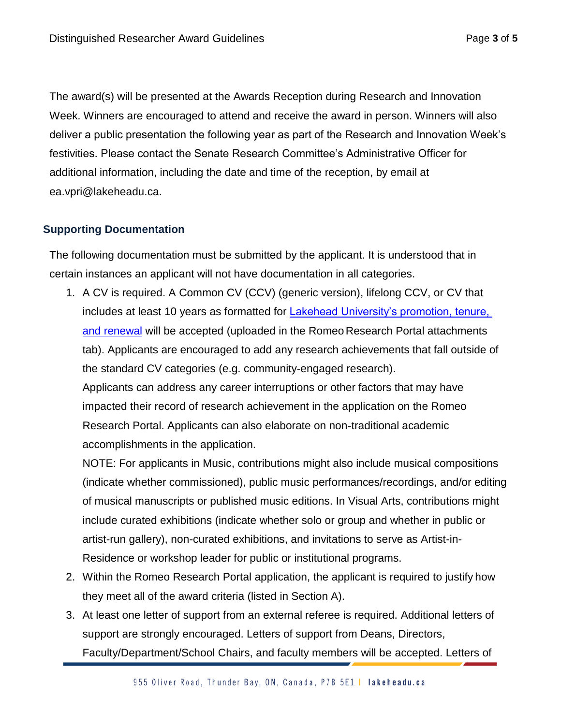The award(s) will be presented at the Awards Reception during Research and Innovation Week. Winners are encouraged to attend and receive the award in person. Winners will also deliver a public presentation the following year as part of the Research and Innovation Week's festivities. Please contact the Senate Research Committee's Administrative Officer for additional information, including the date and time of the reception, by email at [ea.vpri@lakeheadu.ca.](mailto:ea.vpri@lakeheadu.ca)

## **Supporting Documentation**

The following documentation must be submitted by the applicant. It is understood that in certain instances an applicant will not have documentation in all categories.

1. A CV is required. A Common CV (CCV) (generic version), lifelong CCV, or CV that includes at least 10 years as formatted for **Lakehead University's promotion**, tenure, [and renewal](https://www.lakeheadu.ca/faculty-and-staff/departments/services/hr/resources-for-staff/forms) will be accepted (uploaded in the Romeo Research Portal attachments tab). Applicants are encouraged to add any research achievements that fall outside of the standard CV categories (e.g. community-engaged research).

Applicants can address any career interruptions or other factors that may have impacted their record of research achievement in the application on the Romeo Research Portal. Applicants can also elaborate on non-traditional academic accomplishments in the application.

NOTE: For applicants in Music, contributions might also include musical compositions (indicate whether commissioned), public music performances/recordings, and/or editing of musical manuscripts or published music editions. In Visual Arts, contributions might include curated exhibitions (indicate whether solo or group and whether in public or artist-run gallery), non-curated exhibitions, and invitations to serve as Artist-in-Residence or workshop leader for public or institutional programs.

- 2. Within the Romeo Research Portal application, the applicant is required to justify how they meet all of the award criteria (listed in Section A).
- 3. At least one letter of support from an external referee is required. Additional letters of support are strongly encouraged. Letters of support from Deans, Directors, Faculty/Department/School Chairs, and faculty members will be accepted. Letters of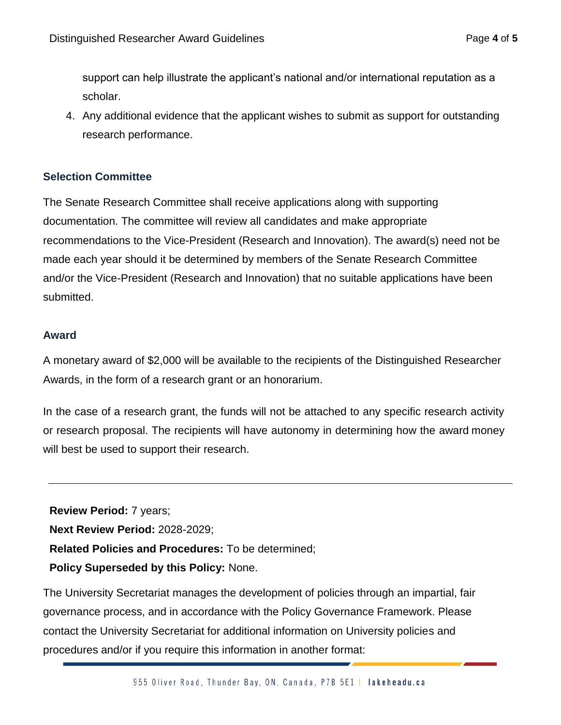support can help illustrate the applicant's national and/or international reputation as a scholar.

4. Any additional evidence that the applicant wishes to submit as support for outstanding research performance.

## **Selection Committee**

The Senate Research Committee shall receive applications along with supporting documentation. The committee will review all candidates and make appropriate recommendations to the Vice-President (Research and Innovation). The award(s) need not be made each year should it be determined by members of the Senate Research Committee and/or the Vice-President (Research and Innovation) that no suitable applications have been submitted.

## **Award**

A monetary award of \$2,000 will be available to the recipients of the Distinguished Researcher Awards, in the form of a research grant or an honorarium.

In the case of a research grant, the funds will not be attached to any specific research activity or research proposal. The recipients will have autonomy in determining how the award money will best be used to support their research.

**Review Period:** 7 years; **Next Review Period:** 2028-2029; **Related Policies and Procedures:** To be determined; **Policy Superseded by this Policy:** None.

The University Secretariat manages the development of policies through an impartial, fair governance process, and in accordance with the Policy Governance Framework. Please contact the University Secretariat for additional information on University policies and procedures and/or if you require this information in another format: